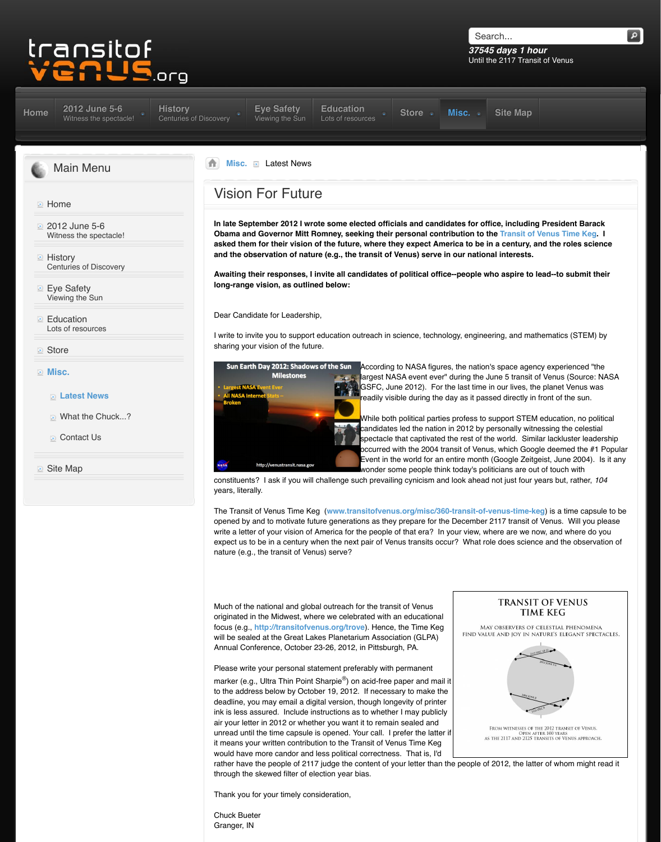Lots of resources

### **Store**

- **Misc.**
	- **Latest News**
	- **E** What the Chuck...?
	- **[Contact Us](http://www.transitofvenus.org/june2012)**

**■** Site Map

I write to invite you to support education outreach in s sharing your vision of the future.



While both candidate [spectacle](http://www.transitofvenus.org/education) occurred v Event in th

constituents? I ask if you will challenge such prevaili [y](http://www.transitofvenus.org/)[ears, litera](http://www.transitofvenus.org/misc)lly.

The Transit of Venus Time Keg (www.transitofvenus [opened by and to motivate futur](http://www.transitofvenus.org/misc/363-vision-for-future)e generations as the write a letter of your vision of America for the people expect us to be in a century when the next pair of Ve nature (e.g., the transit of Venus) serve?

Much of the national and global outreach for the trans originated in the Midwest, where we celebrated with a focus (e.g., http://transitofvenus.org/trove). Hence will be sealed at the Great Lakes Planetarium Association Annual Conference, October 23-26, 2012, in Pittsbur

Please write your personal statement preferably with marker (e.g., Ultra Thin Point Sharpie $^{\circledR}$ ) on acid-free to the address below by October 19, 2012. If necess deadline, you may email a digital version, though long ink is less assured. Include instructions as to whether air your letter in 2012 or whether you want it to remai unread until the time capsule is opened. Your call.  $I_1$ it means your written contribution to the Transit of Ve would have more candor and less political correctnes rather have the people of 2117 judge the content of y through the skewed filter of election year bias.

Thank you for your timely consideration,

Chuck Bueter Granger, IN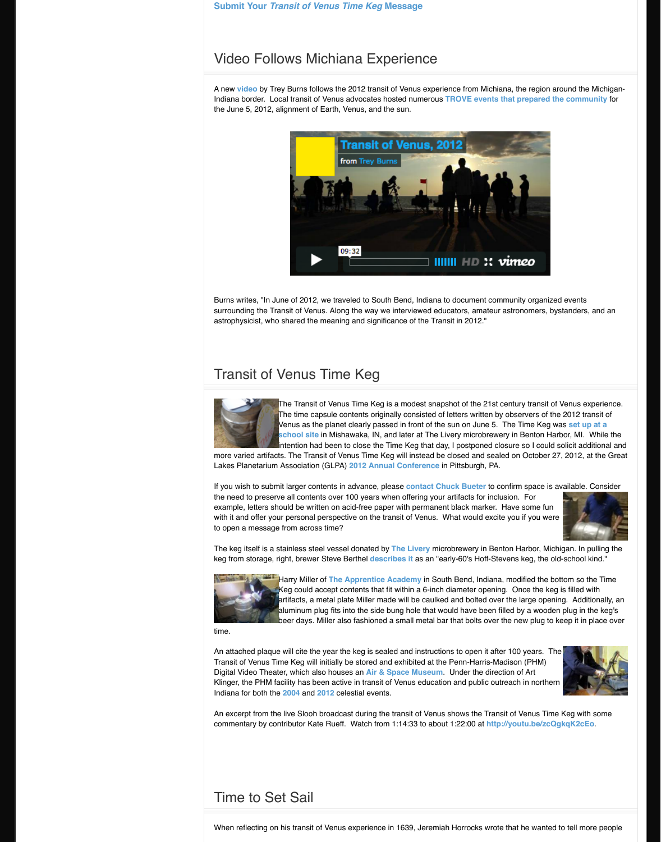# Transit of Venus Time Keg



The Transit of Venus Time Keg is The time capsule contents original Venus as the planet clearly passe **school site in Mishawaka, IN, and later at The Livers** lintention had been to close the Tir

more varied artifacts. The Transit of Venus Time Keg **Lakes Planetarium Association (GLPA) 2012 Annual** 

If you wish to submit larger contents in advance, please is available. Contact Buetera to contact Buetera to con the need to preserve all contents over 100 years when example, letters should be written on acid-free paper with it and offer your personal perspective on the transity of  $\mathcal{V}$ to open a message from across time?

The keg itself is a stainless steel vessel donated by **The Livery** in Benton Harbor, Michigan. In pulling the keg keg from storage, right, brewer Steve Berthel **descril** 



**Harry Miller of The Apprentice Ademy** Keg could accept contents that fit artifacts, a metal plate Miller made aluminum plug fits into the side bung hole that would have in beer days. Miller also fashioned a

time.

An attached plaque will cite the year the keg is seale Transit of Venus Time Keg will initially be stored and Digital Video Theater, which also houses an Air & Sp Klinger, the PHM facility has been active in transit of Indiana for both the **2004** and **2012** celestial events.

[An excerpt from the live Slooh broadcast during t](http://www.transitofvenus.org/misc/360-transit-of-venus-time-keg)he t commentary by contributor Kate Rueff. Watch from 1

# Time to Set Sail

When reflecting on his transit of Venus experience in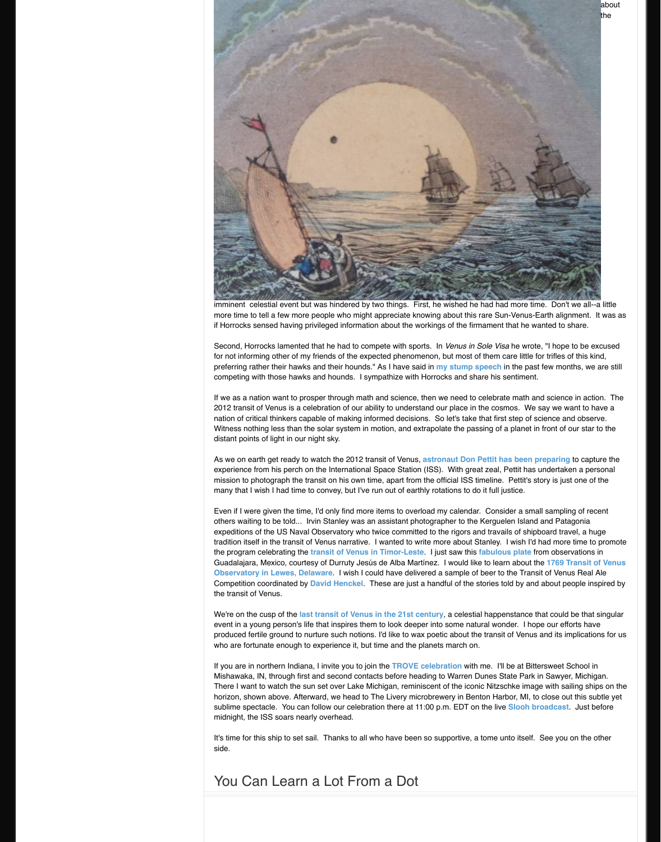Second, Horrocks lamented that he had to compete **v** for not informing other of my friends of the expected preferring rather their hawks and their hounds." As I I competing with those hawks and hounds. I sympathize

If we as a nation want to prosper through math and s 2012 transit of Venus is a celebration of our ability to nation of critical thinkers capable of making informed Witness nothing less than the solar system in motion distant points of light in our night sky.

As we on earth get ready to watch the 2012 transit of experience from his perch on the International Space mission to photograph the transit on his own time, apart from the other the original ISS times. many that I wish I had time to convey, but I've run out

Even if I were given the time, I'd only find more items others waiting to be told... Irvin Stanley was an assis expeditions of the US Naval Observatory who twice or tradition itself in the transit of Venus narrative. I want the program celebrating the **transit of Venus in Tim-**Guadalajara, Mexico, courtesy of Durruty Jesús de A **Observatory in Lewes, Delaware. I wish I could have delivered a sample of the Transit Observatory** Competition coordinated by **David Henckel**. These the transit of Venus.

We're on the cusp of the **last transit of Venus in the** event in a young person's life that inspires them to lo produced fertile ground to nurture such notions. I'd like who are fortunate enough to experience it, but time and the planets margin

If you are in northern Indiana, I invite you to join the 1 Mishawaka, IN, through first and second contacts be There I want to watch the sun set over Lake Michigar, reminiscent over the interhorizon, shown above. Afterward, we head to The Liver sublime spectacle. You can follow our celebration the midnight, the ISS soars nearly overhead.

It's time for this ship to set sail. Thanks to all who ha side.

## You Can Learn a Lot From a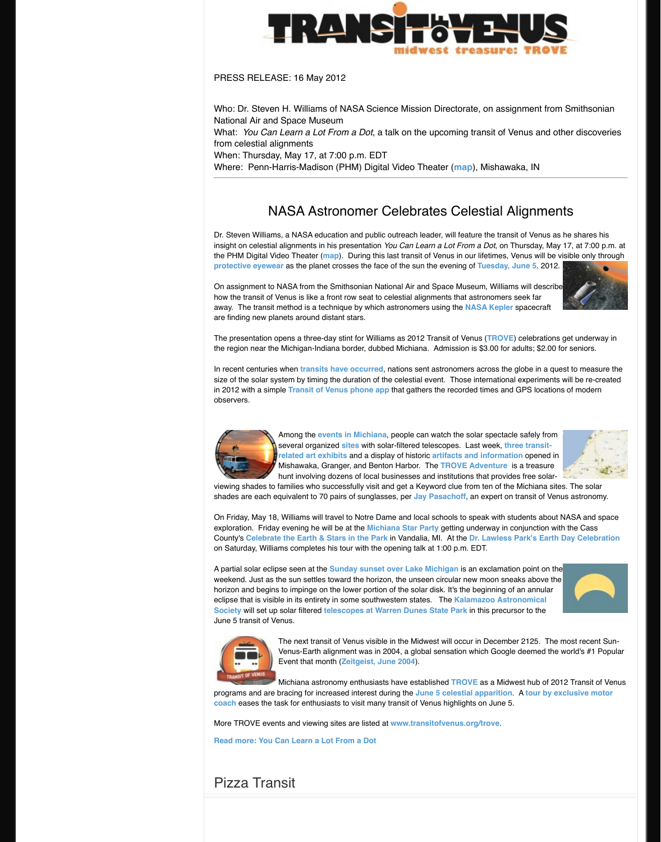The presentation opens a three-day stint for Williams the region near the Michigan-Indiana border, dubbed

In recent centuries when **transits have occurred**, nations as size of the solar system by timing the duration of the in 2012 with a simple **Transit of Venus phone app** to observers.



Among the events in Michiana, people can be solar the solar spectacle same spectacle same set all a several organized **sites** with solar **related art exhibits and a display** Mishawaka, Granger, and Benton. hunt involving dozens of local bus

viewing shades to families who successfully visit and shades are each equivalent to 70 pairs of sunglasses

On Friday, May 18, Williams will travel to Notre Dame exploration. Friday evening he will be at the Michiar **County's Celebrate the Earth & Stars in the Park in** on Saturday, Williams completes his tour with the opening talk at 1:00 p.m. EDT.

A partial solar eclipse seen at the **Sunday sunset over Lake I** weekend. Just as the sun settles toward the horizon, horizon and begins to impinge [on the](http://www.bing.com/maps/?v=2&cp=qydg217tqxs0&lvl=18.213472132516717&dir=4.722599367318484&sty=b&ss=yp.planetarium%7Epg.1%7Erad.0,225750797931635&form=LMLTCC) lower portion of [eclipse that is visible](http://www.transitofvenus.org/june2012/eye-safety) in its entirety in some southwes **Society** will set up solar filtered **telescopes at Warre** June 5 transit of Venus.



The next transit of Venus visible in Venus-Earth alignment was in 2004 Event that month (**Zeitgeist, June** 

Michiana astronomy enthusiasts have established as a Middle as a Middle Burgade as  $\mathsf{R}$ 

programs and are bracing for increased interest during programs **coach** eases the task for [enthusiasts to visit many](http://transitofvenus.nl/wp/) transity

More TROVE events [and viewing sites are listed at](http://transitofvenus.nl/wp/getting-involved/phone-app/) **w** 

**Read more: You Can Learn a Lot From a Dot**

## Pizza Tra[nsit](http://www.flickr.com/photos/78336339@N04/sets/)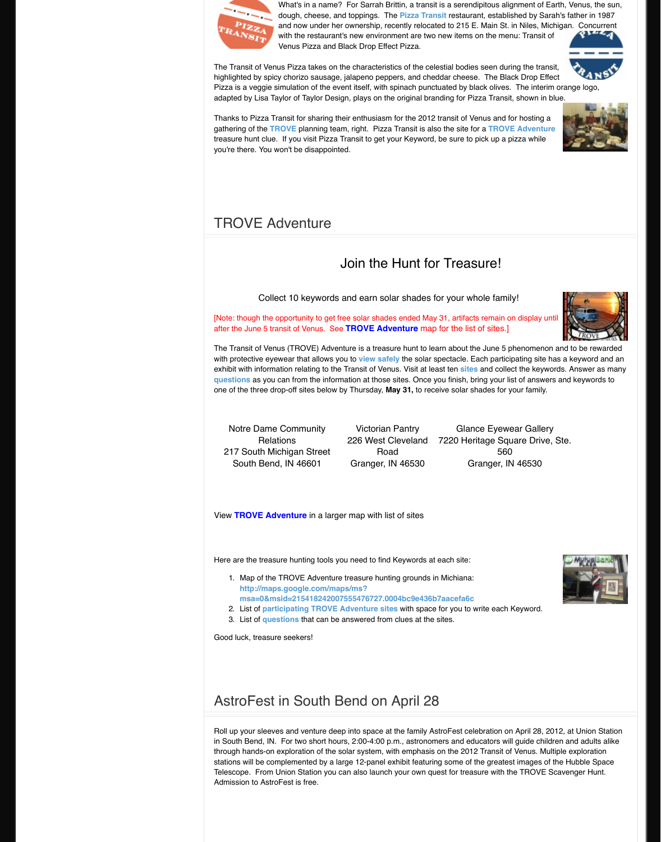### after the June 5 transit of Venus. See **TROVE Adventure** map for the list of sites.]

The Transit of Venus (TROVE) Adventure is a treasure with protective eyewear that allows you to view safel exhibit with information relating to the Transit of Venus. **questions** as you can from the information at those stell one of the three drop-off sites below by Thursday, Ma

Notre Dame Community **Relations** 217 South Michigan Street South B[end, IN 4](http://www.transitofvenus.org/trove)6601

Victorian  $226$  West  $C$ Roa Granger, IN

View **TROVE Adventure** in a larger map with list

[Here are the treasure hunting tools](http://www.transitofvenus.org/misc/347-trove-adventure) you need to find I

- 1. Map of the TROVE Adventure treasure hunting **http://maps.google.com/maps/ms?** msa=0&msid=215418242007555476727.00
- 2. List of **participating TROVE Adventure site**
- 3. List of questions that can be answered from

Good luck, treasure seekers!

## [AstroF](http://www.transitofvenus.org/docs/Questions-only_2012-04-26_17:02.pdf)est in South Bend on

Roll up your sleeves and venture deep into space at in South Bend, IN. For two short hours, 2:00-4:00 p. through hands-on exploration of the solar system, with emphasis on exploration of the solar system, with stations will be complemented by a large 12-panel exhibit featuring some of the greater in the space Telescope. From Union Station you can also launch Admission to AstroFest is free.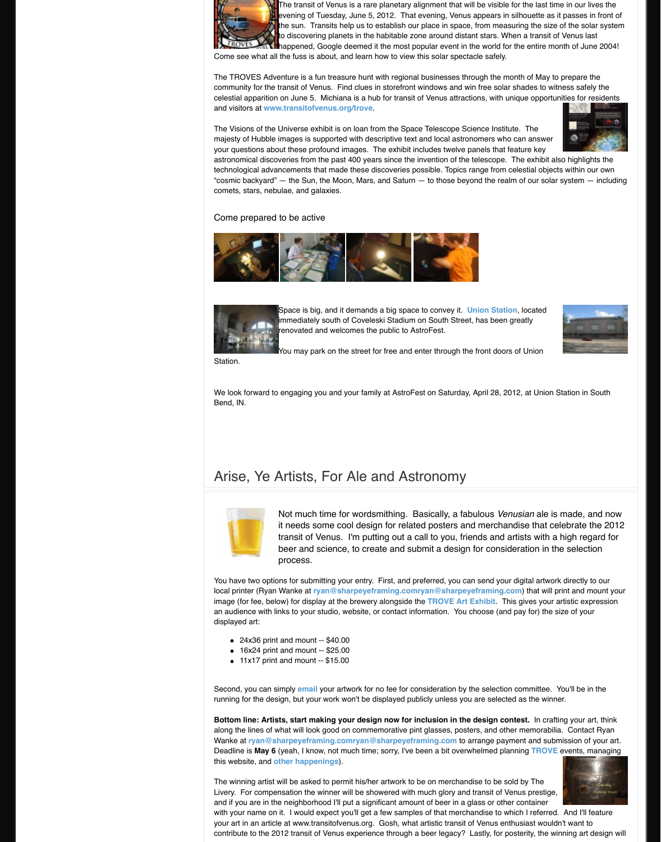

Station.

enovated and welcomes the public

You may park on the street for free

We look forward to engaging you and your family at AstroFest on Station III. Bend, IN.

# Arise, Ye Artists, For Ale and



Not much time for wordsmith. it needs some cool design for transit of Venus. I'm putting out beer and science, to create a process.

You have two options for submitting your entry. First, local printer (Ryan Wanke at **ryan@sharpeyeframin** image (for fee, below) for display at the brewery alon an audience with links to your studio, website, or con displayed art:

- $\bullet$  24x36 print and mount -- \$40.00
- $\bullet$  16x24 print and mount -- \$25.00
- $\bullet$  11x17 print and mount -- \$15.00

Second, you can simply **email** your artwork for no fee running for the design, but your work won't be display

**Bottom line: Artists, start making your design notest.** along the lines of what will look good on commemoration Wanke at **ryan@sharpeyeframing.comryan@shar** Deadline is **May 6** (yeah, I know, not much time; sorr this website, and **other happenings**).

The winning artist will be asked to permit his/her artwork to be sold at the winning artist will be asked to permit Livery. For compensation the winner will be showere and if you are in the neighborhood I'll put a significan with your name on it. I would expect you'll get a few your art in an article at www.transitofvenus.org. Gos contribute to the 2012 transit of Venus experience thi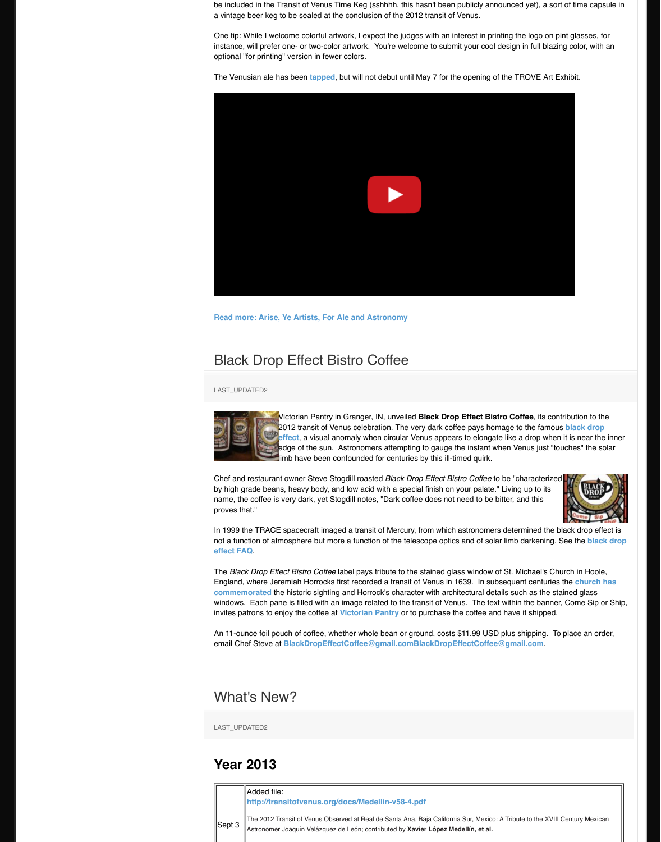# **Black Drop Effect Bistro Coffee**

#### LAST\_UPDATED2



Victorian Pantry in Granger, IN, ur 2012 transit of Venus celebration. **effect**, a visual anomaly when circ edge of the sun. Astronomers atte limb have been confounded for ce

Chef and restaurant owner Steve Stogdill roasted *Black Biath Chef and restaurant owner* Steve Stogdill by high grade beans, heavy body, and low acid with a name, the coffee is very dark, yet Stogdill notes, "Dark proves that."

In 1999 the TRACE spacecraft imaged a transit of Mercury, from which as not a function of atmosphere but more a function of the telescope optics and  $\mathbf{a}$ **effect FAQ**.

The *Black Drop Effect Bistro Coffee* label pays tribute England, where Jeremiah Horrocks first recorded a ti **commemorated** the historic sighting and Horrock's commemorated the historic sighting and Horrock's or windows. Each pane is filled with an image related to invites patrons to enjoy the coffee at **Victorian Pantr** 

An 11-ounce foil pouch of coffee, whether whole bear email Chef Steve at **[BlackDropEffectCoffee@gmail.com](http://www.transitofvenus.org/misc/343-arise-ye-artists-for-ale-and-astronomy)BlackDropEffectCoffee@gmail.com**.

### [What's New?](http://www.transitofvenus.org/misc/334-black-drop-coffee)

LAST\_UPDATED2

### **Year 2013**

#### Added file:

**http://transitofvenus.org/docs/Medellin-v** 

Sept 3 The 2012 Transit of Venus Observed at Real de Sar Astronomer Joaquín Velázquez de León; contribute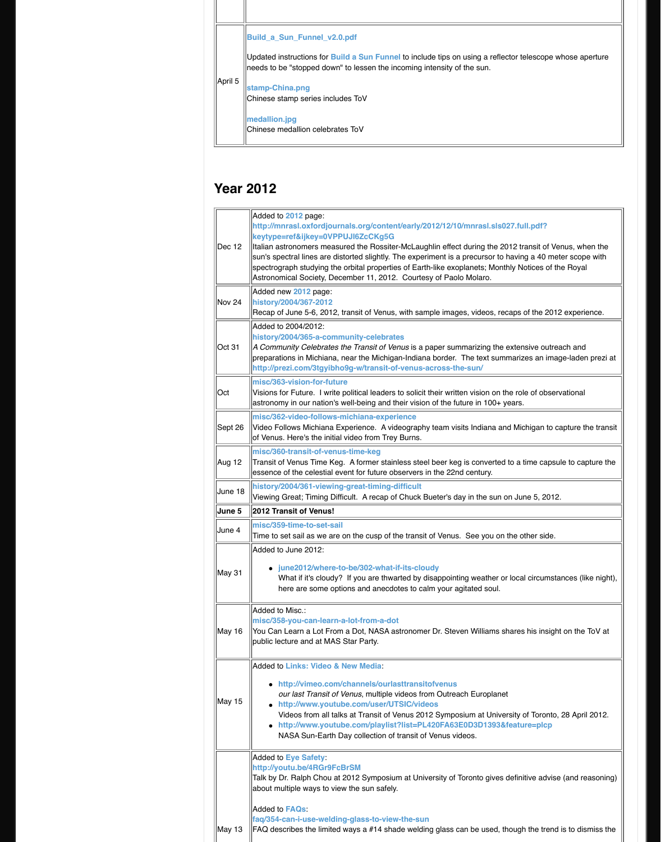| Oct 31        | history/2004/365-a-community-celebral<br>A Community Celebrates the Transit of Ve<br>preparations in Michiana, near the Michig<br>http://prezi.com/3tgyibho9g-w/transit-o                                                                                                   |
|---------------|-----------------------------------------------------------------------------------------------------------------------------------------------------------------------------------------------------------------------------------------------------------------------------|
| Oct           | misc/363-vision-for-future<br>Visions for Future. I write political leaders<br>astronomy in our nation's well-being and                                                                                                                                                     |
| Sept 26       | misc/362-video-follows-michiana-exper<br>Video Follows Michiana Experience. A vi<br>of Venus. Here's the initial video from Tret                                                                                                                                            |
| Aug 12        | misc/360-transit-of-venus-time-keg<br>Transit of Venus Time Keg. A former stair<br>essence of the celestial event for future ol                                                                                                                                             |
| June 18       | history/2004/361-viewing-great-timing-<br>Viewing Great; Timing Difficult. A recap o                                                                                                                                                                                        |
| <b>June 5</b> | 2012 Transit of Venus!                                                                                                                                                                                                                                                      |
| June 4        | misc/359-time-to-set-sail<br>Time to set sail as we are on the cusp of t                                                                                                                                                                                                    |
|               | Added to June 2012:                                                                                                                                                                                                                                                         |
| May 31        | june2012/where-to-be/302-what-<br>What if it's cloudy? If you are thwa<br>here are some options and anecd                                                                                                                                                                   |
| May 16        | Added to Misc.:<br>misc/358-you-can-learn-a-lot-from-a-do<br>You Can Learn a Lot From a Dot, NASA a<br>public lecture and at MAS Star Party.                                                                                                                                |
| May 15        | <b>Added to Links: Video &amp; New Media:</b><br>• http://vimeo.com/channels/ourla<br>our last Transit of Venus, multiple<br>· http://www.youtube.com/user/U<br>Videos from all talks at Transit of \<br>http://www.youtube.com/playlis<br>NASA Sun-Earth Day collection of |
|               | <b>Added to Eye Safety:</b><br>http://youtu.be/4RGr9FcBrSM<br>Talk by Dr. Ralph Chou at 2012 Symposiu<br>about multiple ways to view the sun safely                                                                                                                         |
|               | <b>Added to FAQs:</b><br>faq/354-can-i-use-welding-glass-to-viev                                                                                                                                                                                                            |
| May 13        | FAQ describes the limited ways a #14 sha                                                                                                                                                                                                                                    |
|               |                                                                                                                                                                                                                                                                             |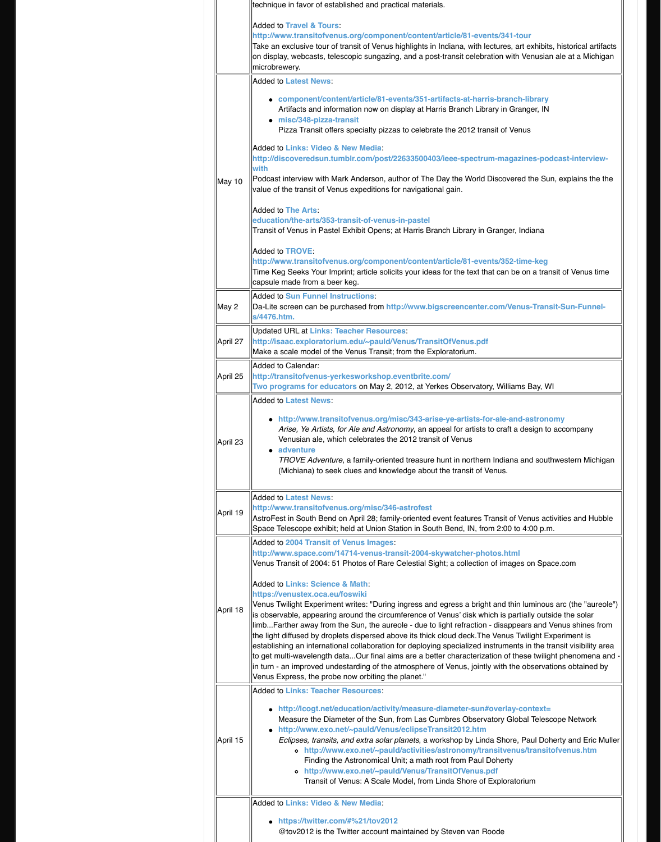| April 27 | Opualeu UNL di Lilins. Teacher Resourt<br>http://isaac.exploratorium.edu/~pauld/<br>Make a scale model of the Venus Transit:                                                                                                                                                                                                                                                                                                                                                                                                                                                    |
|----------|---------------------------------------------------------------------------------------------------------------------------------------------------------------------------------------------------------------------------------------------------------------------------------------------------------------------------------------------------------------------------------------------------------------------------------------------------------------------------------------------------------------------------------------------------------------------------------|
| April 25 | Added to Calendar:<br>http://transitofvenus-yerkesworkshop.<br>Two programs for educators on May 2,                                                                                                                                                                                                                                                                                                                                                                                                                                                                             |
| April 23 | <b>Added to Latest News:</b><br>• http://www.transitofvenus.org/n<br>Arise, Ye Artists, for Ale and Astro<br>Venusian ale, which celebrates the<br>• adventure<br><b>TROVE Adventure, a family-orient</b><br>(Michiana) to seek clues and know                                                                                                                                                                                                                                                                                                                                  |
| April 19 | <b>Added to Latest News:</b><br>http://www.transitofvenus.org/misc/346<br>AstroFest in South Bend on April 28; fami<br>Space Telescope exhibit; held at Union St                                                                                                                                                                                                                                                                                                                                                                                                                |
| April 18 | <b>Added to 2004 Transit of Venus Images</b><br>http://www.space.com/14714-venus-tra<br>Venus Transit of 2004: 51 Photos of Rare<br>Added to Links: Science & Math<br>https://venustex.oca.eu/foswiki<br>Venus Twilight Experiment writes: "During<br>is observable, appearing around the circu<br>limbFarther away from the Sun, the aure<br>the light diffused by droplets dispersed ab<br>establishing an international collaboration<br>to get multi-wavelength dataOur final air<br>in turn - an improved undestarding of the<br>Venus Express, the probe now orbiting the |
| April 15 | <b>Added to Links: Teacher Resources:</b><br>• http://lcogt.net/education/activit<br>Measure the Diameter of the Sun,<br>http://www.exo.net/~pauld/Venu<br>Eclipses, transits, and extra solar<br>o http://www.exo.net/~paul<br>Finding the Astronomical U<br>http://www.exo.net/~paul<br>$\circ$<br>Transit of Venus: A Scale I                                                                                                                                                                                                                                                |
|          | <b>Added to Links: Video &amp; New Media:</b><br>https://twitter.com/#%21/tov201<br>@tov2012 is the Twitter account n                                                                                                                                                                                                                                                                                                                                                                                                                                                           |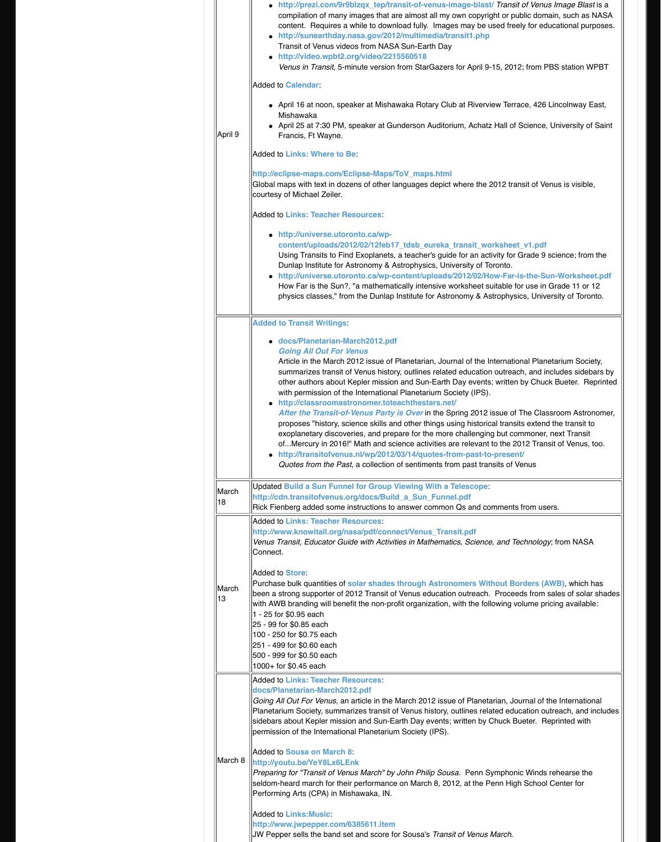|             | • docs/Planetarian-March2012.pd<br><b>Going All Out For Venus</b><br>Article in the March 2012 issue of<br>summarizes transit of Venus histo<br>other authors about Kepler missio<br>with permission of the Internationa<br>• http://classroomastronomer.tote<br><b>After the Transit-of-Venus Party</b><br>proposes "history, science skills ar<br>exoplanetary discoveries, and pre<br>ofMercury in 2016!" Math and so<br>• http://transitofvenus.nl/wp/2012<br>Quotes from the Past, a collection                                                                                           |
|-------------|------------------------------------------------------------------------------------------------------------------------------------------------------------------------------------------------------------------------------------------------------------------------------------------------------------------------------------------------------------------------------------------------------------------------------------------------------------------------------------------------------------------------------------------------------------------------------------------------|
| March<br>18 | <b>Updated Build a Sun Funnel for Group</b><br>http://cdn.transitofvenus.org/docs/Buil<br>Rick Fienberg added some instructions to                                                                                                                                                                                                                                                                                                                                                                                                                                                             |
| March<br>13 | <b>Added to Links: Teacher Resources:</b><br>http://www.knowitall.org/nasa/pdf/conr<br>Venus Transit, Educator Guide with Activi<br>Connect.<br>Added to <b>Store</b> :<br>Purchase bulk quantities of solar shades<br>been a strong supporter of 2012 Transit o<br>with AWB branding will benefit the non-pri<br>1 - 25 for \$0.95 each<br>25 - 99 for \$0.85 each<br>100 - 250 for \$0.75 each<br>251 - 499 for \$0.60 each<br>500 - 999 for \$0.50 each<br>1000+ for \$0.45 each                                                                                                            |
| March 8     | <b>Added to Links: Teacher Resources:</b><br>docs/Planetarian-March2012.pdf<br>Going All Out For Venus, an article in the<br>Planetarium Society, summarizes transit of<br>sidebars about Kepler mission and Sun-E<br>permission of the International Planetariul<br><b>Added to Sousa on March 8:</b><br>http://youtu.be/YeY8Lx6LEnk<br>Preparing for "Transit of Venus March" by<br>seldom-heard march for their performance<br>Performing Arts (CPA) in Mishawaka, IN.<br><b>Added to Links: Music:</b><br>http://www.jwpepper.com/6385611.item<br>JW Pepper sells the band set and score f |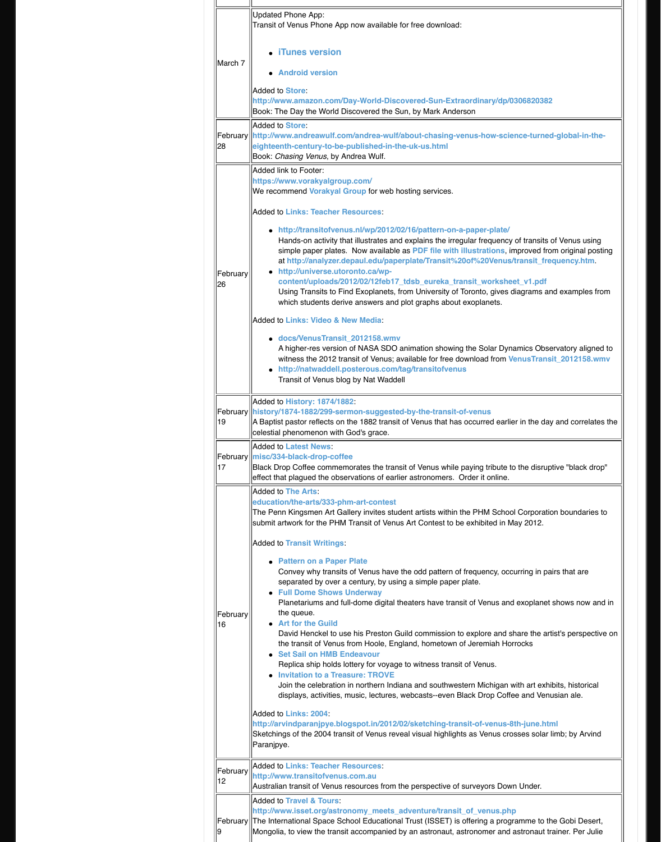|                | · docs/VenusTransit_2012158.wm<br>A higher-res version of NASA SDO<br>witness the 2012 transit of Venus;<br>http://natwaddell.posterous.con<br>Transit of Venus blog by Nat Wadd                                                                                                                                                                                                                                                                                                                                                                                                                                                                                                                                                                                                                                                               |  |
|----------------|------------------------------------------------------------------------------------------------------------------------------------------------------------------------------------------------------------------------------------------------------------------------------------------------------------------------------------------------------------------------------------------------------------------------------------------------------------------------------------------------------------------------------------------------------------------------------------------------------------------------------------------------------------------------------------------------------------------------------------------------------------------------------------------------------------------------------------------------|--|
| 19             | Added to History: 1874/1882<br>February   history/1874-1882/299-sermon-suggest<br>A Baptist pastor reflects on the 1882 trans<br>celestial phenomenon with God's grace.                                                                                                                                                                                                                                                                                                                                                                                                                                                                                                                                                                                                                                                                        |  |
| 17             | Added to Latest News:<br>February   misc/334-black-drop-coffee<br>Black Drop Coffee commemorates the tra<br>effect that plagued the observations of ea                                                                                                                                                                                                                                                                                                                                                                                                                                                                                                                                                                                                                                                                                         |  |
| February<br>16 | <b>Added to The Arts:</b><br>education/the-arts/333-phm-art-contest<br>The Penn Kingsmen Art Gallery invites sti<br>submit artwork for the PHM Transit of Ver<br><b>Added to Transit Writings:</b><br><b>Pattern on a Paper Plate</b><br>Convey why transits of Venus hav<br>separated by over a century, by us<br>• Full Dome Shows Underway<br>Planetariums and full-dome digital<br>the queue.<br><b>Art for the Guild</b><br>David Henckel to use his Preston<br>the transit of Venus from Hoole, E<br><b>Set Sail on HMB Endeavour</b><br>Replica ship holds lottery for voyal<br><b>Invitation to a Treasure: TROVE</b><br>Join the celebration in northern Ind<br>displays, activities, music, lectures<br>Added to Links: 2004:<br>http://arvindparanjpye.blogspot.in/2012<br>Sketchings of the 2004 transit of Venus re<br>Paranjpye. |  |
| February<br>12 | <b>Added to Links: Teacher Resources:</b><br>http://www.transitofvenus.com.au<br>Australian transit of Venus resources from                                                                                                                                                                                                                                                                                                                                                                                                                                                                                                                                                                                                                                                                                                                    |  |
| February       | <b>Added to Travel &amp; Tours:</b><br>http://www.isset.org/astronomy_meets<br>The International Space School Education<br>Mongolia, to view the transit accompanied                                                                                                                                                                                                                                                                                                                                                                                                                                                                                                                                                                                                                                                                           |  |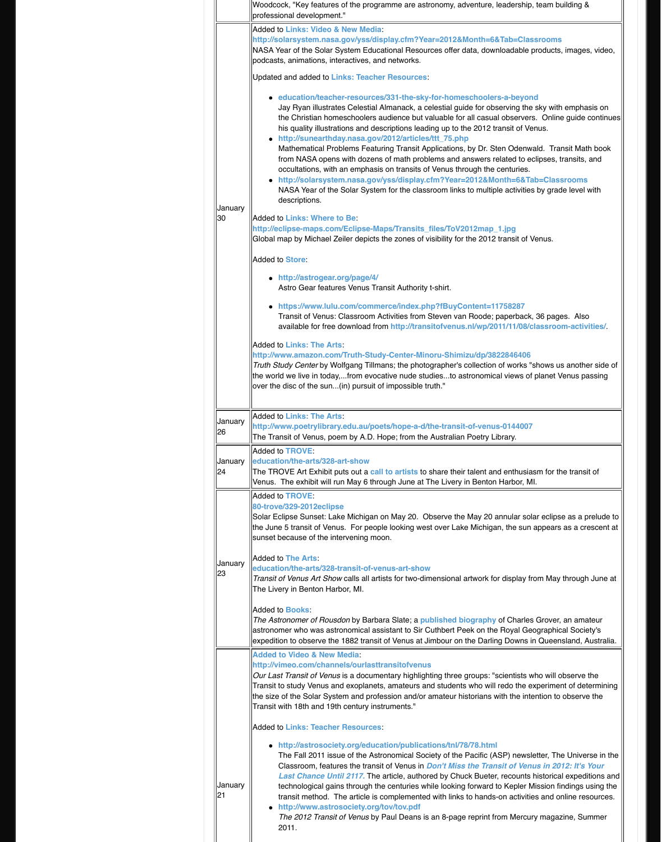|               | <b>Added to Links: The Arts:</b><br>http://www.amazon.com/Truth-Study-C<br>Truth Study Center by Wolfgang Tillmans!<br>the world we live in today,from evocative<br>over the disc of the sun(in) pursuit of im                                                                                                                              |  |
|---------------|---------------------------------------------------------------------------------------------------------------------------------------------------------------------------------------------------------------------------------------------------------------------------------------------------------------------------------------------|--|
| January<br>26 | <b>Added to Links: The Arts:</b><br>http://www.poetrylibrary.edu.au/poets/l<br>The Transit of Venus, poem by A.D. Hope                                                                                                                                                                                                                      |  |
| January<br>24 | Added to TROVE:<br>education/the-arts/328-art-show<br>The TROVE Art Exhibit puts out a call to<br>Venus. The exhibit will run May 6 through                                                                                                                                                                                                 |  |
| January<br>23 | <b>Added to TROVE:</b><br>80-trove/329-2012eclipse<br>Solar Eclipse Sunset: Lake Michigan on N<br>the June 5 transit of Venus. For people Id<br>sunset because of the intervening moon.<br>Added to The Arts:<br>education/the-arts/328-transit-of-venus<br>Transit of Venus Art Show calls all artists<br>The Livery in Benton Harbor, MI. |  |
|               | <b>Added to Books:</b><br>The Astronomer of Rousdon by Barbara S<br>astronomer who was astronomical assista<br>expedition to observe the 1882 transit of \                                                                                                                                                                                  |  |
|               | <b>Added to Video &amp; New Media:</b><br>http://vimeo.com/channels/ourlasttrans<br>Our Last Transit of Venus is a documental<br>Transit to study Venus and exoplanets, ar<br>the size of the Solar System and profession<br>Transit with 18th and 19th century instrum                                                                     |  |
|               | <b>Added to Links: Teacher Resources:</b><br>• http://astrosociety.org/education<br>The Fall 2011 issue of the Astrong<br>Classroom, features the transit of<br><b>Last Chance Until 2117. The artic</b>                                                                                                                                    |  |
| January<br>21 | technological gains through the ce<br>transit method. The article is com<br>http://www.astrosociety.org/tov/<br>The 2012 Transit of Venus by Pau<br>2011.                                                                                                                                                                                   |  |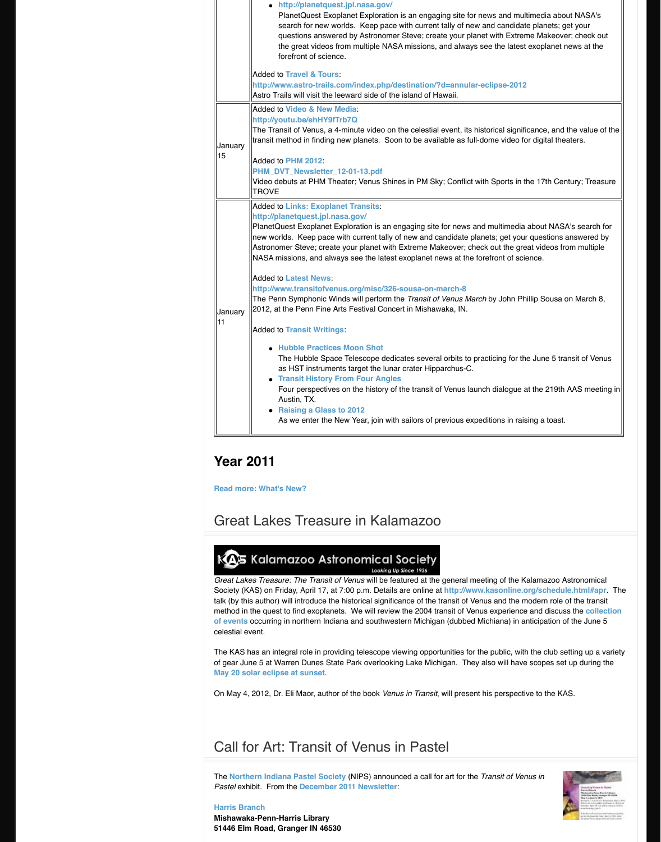Added to **[Transit Writings](http://planetquest.jpl.nasa.gov/)**:

- **Hubble Practices Moon Shot** The Hubble Space Telescope ded as HST instruments target the lun
- **Transit History From Four Angle** Four perspectives on the history of Austin, TX.
- **R[aising a Glass t](http://www.transitofvenus.org/june2012/travel)o 2012** As we enter the New Year, join with

# **Year [2011](http://youtu.be/ehHY9fTrb7Q)**

**Read more: What's [New?](http://www.transitofvenus.org/phm2012)**

# **Great Lakes Treasure in Kala**

# KAS Kalamazoo Astronomical

Looking L

*Great Lakes Treasure: The Transit of Venus will be fe* Society (KAS) on Friday, April 17, at 7:00 p.m. Details talk (by this author) will introduce the historical significant method in the quest [to find exoplan](http://www.transitofvenus.org/misc/latest-news)ets. We will revie **of events** occurring in northern Indiana and southwe celestial event.

The KAS has an integral role in providing telescope v of gear June 5 at W[arren Dunes State](http://www.transitofvenus.org/misc/what-the-chuck/256-transit-writings) Park overlooki **May 20 solar ecli[pse at sunset](http://transitofvenus.nl/wp/2012/01/11/hubble-practices-moon-shot/)**.

On May 4, 2012, Dr. Eli Maor, author of the book Ver

# Call for Ar[t: Transit of Ve](http://transitofvenus.nl/wp/2011/12/31/raising-a-glass-to-2012/)nus

**The Northern Indiana Pastel Society (NIPS) announced a calculate and Transit For Art Format Format Format Format Ann Art Format Art and** *The Northern* **Indiana Pastel Society (NIPS) announced Transit** *The Northern* **Pastel exhibit. From the December 2011 Newsletter** 

#### **Harris Branch**

**[Mishawaka-Penn-Harris L](http://www.transitofvenus.org/misc/208-whats-new)ibrary 51446 Elm Road, Granger IN 46530**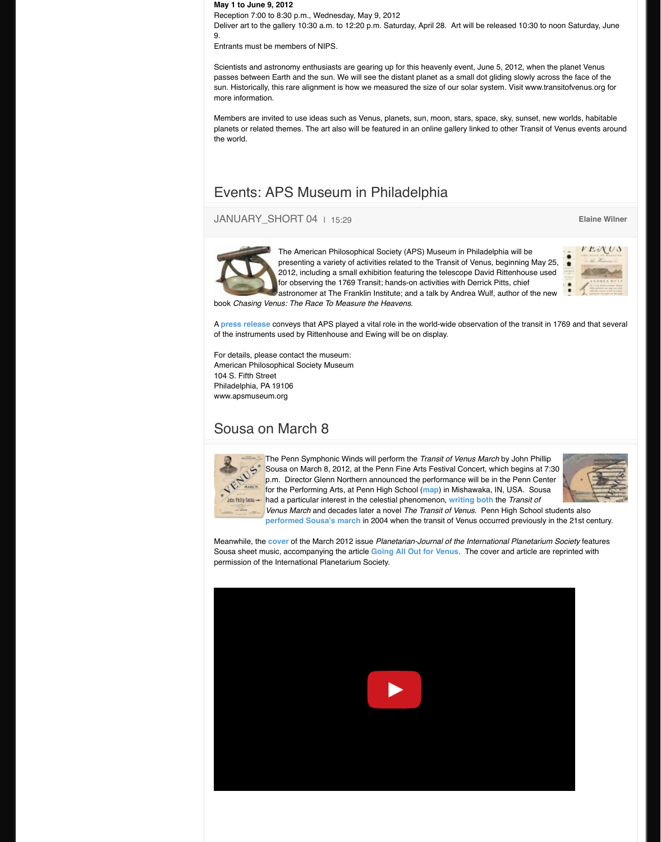of the instruments used by Rittenhouse and Ewing w

For details, please contact the museum: American Philosophical Society Museum 104 S. Fifth Street Philadelphia, PA 19106 www.apsmuseum.org

### Sousa on March 8



The Penn Symphonic Winds will perform **The Penn** Sousa on March 8, 2012, at the Penn p.m. Director Glenn Northern announ for the Performing Arts, at Penn High had a particular interest in the celestial *Venus March* and decades later a nov **[performed Sousa's march](http://www.transitofvenus.org/misc/324-events-aps-museum-in-philadelphia) in 2004 when the transit of Venus of Venus** 

Meanwhile, the **cover** of the March 2012 issue Plane Sousa sheet music, accompanying the article **Going** permission of the International Planetarium Society.